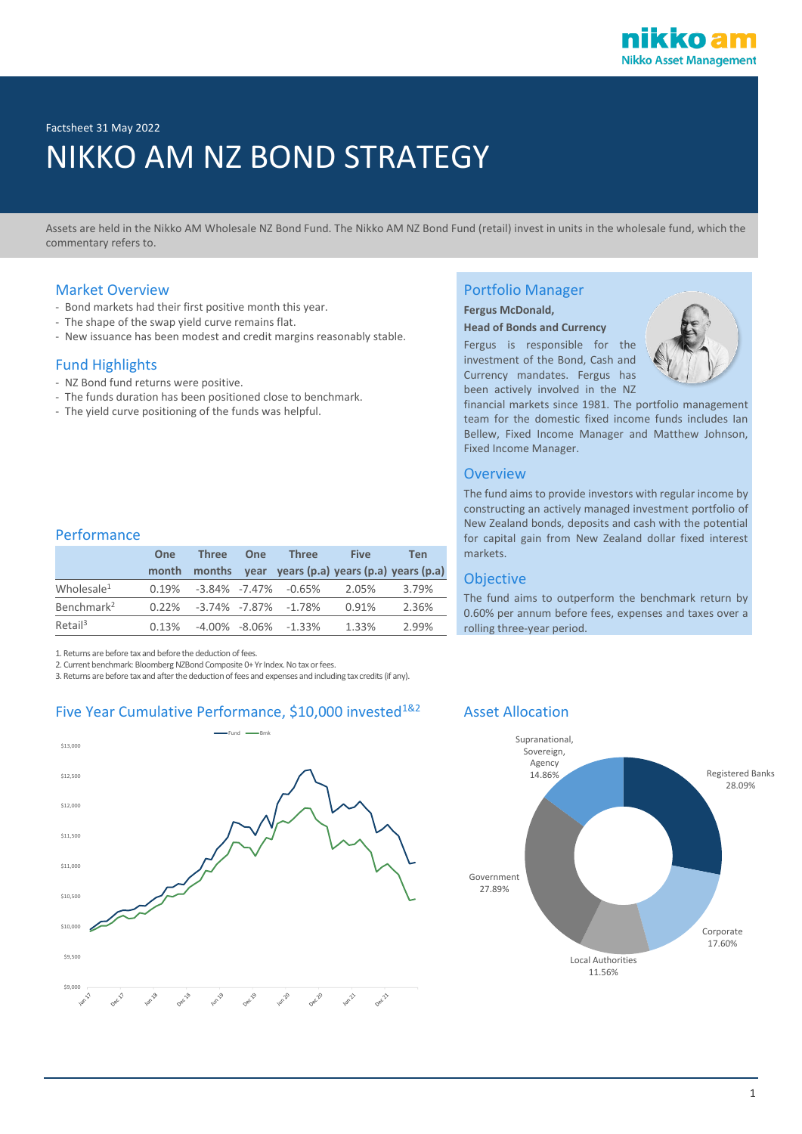

Factsheet 31 May 2022

# NIKKO AM NZ BOND STRATEGY

Assets are held in the Nikko AM Wholesale NZ Bond Fund. The Nikko AM NZ Bond Fund (retail) invest in units in the wholesale fund, which the commentary refers to.

### Market Overview

- Bond markets had their first positive month this year.
- The shape of the swap yield curve remains flat.
- New issuance has been modest and credit margins reasonably stable.

### Fund Highlights

- NZ Bond fund returns were positive.
- The funds duration has been positioned close to benchmark.
- The yield curve positioning of the funds was helpful.

#### Performance

|                        | <b>One</b> | <b>Three</b> | One | <b>Three</b>                           | <b>Five</b>                                           | Ten   |
|------------------------|------------|--------------|-----|----------------------------------------|-------------------------------------------------------|-------|
|                        | month      |              |     |                                        | months year years $(p.a)$ years $(p.a)$ years $(p.a)$ |       |
| Wholesale <sup>1</sup> |            |              |     | $0.19\%$ $-3.84\%$ $-7.47\%$ $-0.65\%$ | 2.05%                                                 | 3.79% |
| Benchmark <sup>2</sup> |            |              |     | $0.22\%$ $-3.74\%$ $-7.87\%$ $-1.78\%$ | 0.91%                                                 | 2.36% |
| Retail <sup>3</sup>    | 0.13%      |              |     | $-4.00\%$ $-8.06\%$ $-1.33\%$          | 1.33%                                                 | 2.99% |

1. Returns are before tax and before the deduction of fees.

2. Current benchmark: Bloomberg NZBond Composite 0+ Yr Index. No tax or fees.

3. Returns are before tax and after the deduction of fees and expenses and including tax credits (if any).

# Five Year Cumulative Performance, \$10,000 invested<sup>1&2</sup> Asset Allocation



# Portfolio Manager

# **Fergus McDonald,**

**Head of Bonds and Currency** Fergus is responsible for the

investment of the Bond, Cash and Currency mandates. Fergus has been actively involved in the NZ



financial markets since 1981. The portfolio management team for the domestic fixed income funds includes Ian Bellew, Fixed Income Manager and Matthew Johnson, Fixed Income Manager.

#### **Overview**

The fund aims to provide investors with regular income by constructing an actively managed investment portfolio of New Zealand bonds, deposits and cash with the potential for capital gain from New Zealand dollar fixed interest markets.

#### Objective

The fund aims to outperform the benchmark return by 0.60% per annum before fees, expenses and taxes over a rolling three-year period.